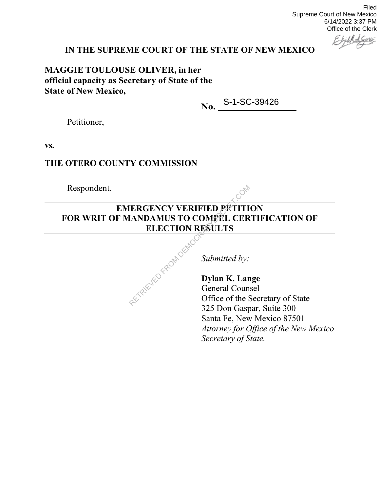Filed Supreme Court of New Mexico 6/14/2022 3:37 PM Office of the Clerk

# **IN THE SUPREME COURT OF THE STATE OF NEW MEXICO**

**MAGGIE TOULOUSE OLIVER, in her official capacity as Secretary of State of the State of New Mexico,**

**No.** S-1-SC-39426

Petitioner,

**vs.**

## **THE OTERO COUNTY COMMISSION**

Respondent.

# **EMERGENCY VERIFIED PETITION FOR WRIT OF MANDAMUS TO COMPEL CERTIFICATION OF ELECTION RESULTS** RETRIEVED FROM DEMO

*Submitted by:*

**Dylan K. Lange** General Counsel Office of the Secretary of State 325 Don Gaspar, Suite 300 Santa Fe, New Mexico 87501 *Attorney for Office of the New Mexico Secretary of State.*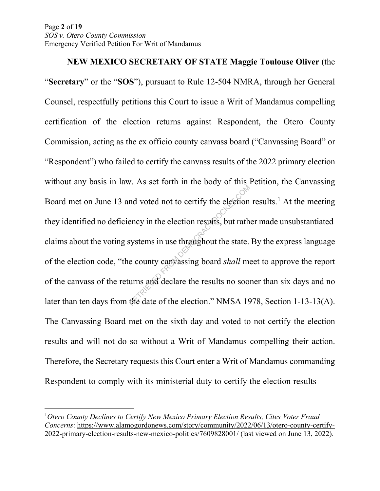**NEW MEXICO SECRETARY OF STATE Maggie Toulouse Oliver** (the "**Secretary**" or the "**SOS**"), pursuant to Rule 12-504 NMRA, through her General Counsel, respectfully petitions this Court to issue a Writ of Mandamus compelling certification of the election returns against Respondent, the Otero County Commission, acting as the ex officio county canvass board ("Canvassing Board" or "Respondent") who failed to certify the canvass results of the 2022 primary election without any basis in law. As set forth in the body of this Petition, the Canvassing Board met on June 13 and voted not to certify the election results.<sup>1</sup> At the meeting they identified no deficiency in the election results, but rather made unsubstantiated claims about the voting systems in use throughout the state. By the express language of the election code, "the county canvassing board *shall* meet to approve the report of the canvass of the returns and declare the results no sooner than six days and no later than ten days from the date of the election." NMSA 1978, Section 1-13-13(A). The Canvassing Board met on the sixth day and voted to not certify the election results and will not do so without a Writ of Mandamus compelling their action. Therefore, the Secretary requests this Court enter a Writ of Mandamus commanding Respondent to comply with its ministerial duty to certify the election results and voted not to certify the election<br>ency in the election results, but rath<br>systems in use throughout the state.<br>e county can assing board *shall* more<br>urns and declare the results no soo:<br>the date of the election." NMSA

<sup>&</sup>lt;sup>1</sup> Otero County Declines to Certify New Mexico Primary Election Results, Cites Voter Fraud *Concerns*: https://www.alamogordonews.com/story/community/2022/06/13/otero-county-certify-2022-primary-election-results-new-mexico-politics/7609828001/ (last viewed on June 13, 2022).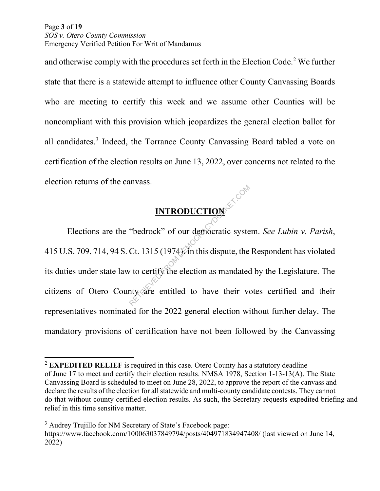Page **3** of **19**  *SOS v. Otero County Commission*  Emergency Verified Petition For Writ of Mandamus

and otherwise comply with the procedures set forth in the Election Code.2 We further state that there is a statewide attempt to influence other County Canvassing Boards who are meeting to certify this week and we assume other Counties will be noncompliant with this provision which jeopardizes the general election ballot for all candidates. <sup>3</sup> Indeed, the Torrance County Canvassing Board tabled a vote on certification of the election results on June 13, 2022, over concerns not related to the election returns of the canvass.

# **INTRODUCTION**

Elections are the "bedrock" of our democratic system. *See Lubin v. Parish*, 415 U.S. 709, 714, 94 S. Ct. 1315 (1974). In this dispute, the Respondent has violated its duties under state law to certify the election as mandated by the Legislature. The citizens of Otero County are entitled to have their votes certified and their representatives nominated for the 2022 general election without further delay. The mandatory provisions of certification have not been followed by the Canvassing **INTRODUCTION**<br>
"bedrock" of our democratic syste<br>
Ct. 1315 (1974). In this dispute, the<br>
v to certify the election as mandated<br>
nty are entitled to have their vo

<sup>2</sup> **EXPEDITED RELIEF** is required in this case. Otero County has a statutory deadline of June 17 to meet and certify their election results. NMSA 1978, Section 1-13-13(A). The State Canvassing Board is scheduled to meet on June 28, 2022, to approve the report of the canvass and declare the results of the election for all statewide and multi-county candidate contests. They cannot do that without county certified election results. As such, the Secretary requests expedited briefing and relief in this time sensitive matter.

<sup>&</sup>lt;sup>3</sup> Audrey Trujillo for NM Secretary of State's Facebook page: https://www.facebook.com/100063037849794/posts/404971834947408/ (last viewed on June 14, 2022)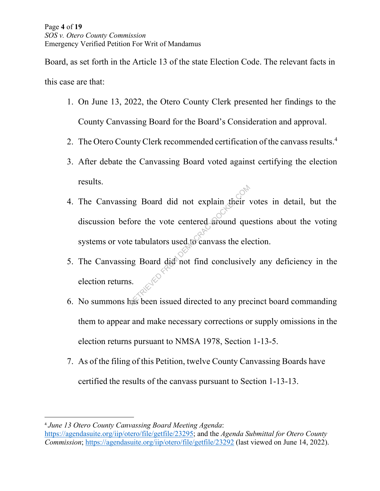Board, as set forth in the Article 13 of the state Election Code. The relevant facts in this case are that:

- 1. On June 13, 2022, the Otero County Clerk presented her findings to the County Canvassing Board for the Board's Consideration and approval.
- 2. The Otero County Clerk recommended certification of the canvass results.<sup>4</sup>
- 3. After debate the Canvassing Board voted against certifying the election results.
- 4. The Canvassing Board did not explain their votes in detail, but the discussion before the vote centered around questions about the voting systems or vote tabulators used to canvass the election. mg Board did not explain their<br>
fore the vote centered around que<br>
e tabulators used to canvass the ele<br>
ig Board did not find conclusivel<br>
s.<br>
s.<br>
as been issued directed to any pre-
- 5. The Canvassing Board did not find conclusively any deficiency in the election returns.
- 6. No summons has been issued directed to any precinct board commanding them to appear and make necessary corrections or supply omissions in the election returns pursuant to NMSA 1978, Section 1-13-5.
- 7. As of the filing of this Petition, twelve County Canvassing Boards have certified the results of the canvass pursuant to Section 1-13-13.

<sup>4</sup> *June 13 Otero County Canvassing Board Meeting Agenda*:

https://agendasuite.org/iip/otero/file/getfile/23295; and the *Agenda Submittal for Otero County Commission*; https://agendasuite.org/iip/otero/file/getfile/23292 (last viewed on June 14, 2022).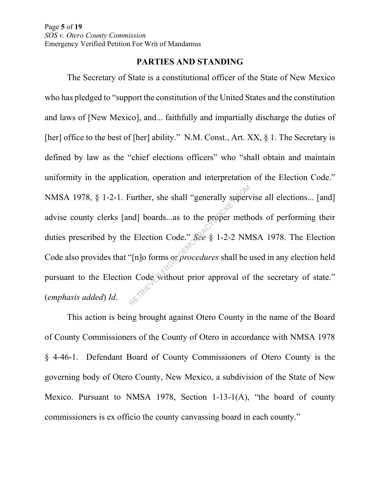## **PARTIES AND STANDING**

The Secretary of State is a constitutional officer of the State of New Mexico who has pledged to "support the constitution of the United States and the constitution and laws of [New Mexico], and... faithfully and impartially discharge the duties of [her] office to the best of [her] ability." N.M. Const., Art. XX, § 1. The Secretary is defined by law as the "chief elections officers" who "shall obtain and maintain uniformity in the application, operation and interpretation of the Election Code." NMSA 1978, § 1-2-1. Further, she shall "generally supervise all elections... [and] advise county clerks [and] boards...as to the proper methods of performing their duties prescribed by the Election Code." *See* § 1-2-2 NMSA 1978. The Election Code also provides that "[n]o forms or *procedures* shall be used in any election held pursuant to the Election Code without prior approval of the secretary of state." (*emphasis added*) *Id*. Further, she shall "generally supervally supervally boards...as to the proper meth<br>
Election Code." See § 1-2-2 NM<br>
"[n]o forms or procedures shall be a<br>
A Code without prior approval of

This action is being brought against Otero County in the name of the Board of County Commissioners of the County of Otero in accordance with NMSA 1978 § 4-46-1. Defendant Board of County Commissioners of Otero County is the governing body of Otero County, New Mexico, a subdivision of the State of New Mexico. Pursuant to NMSA 1978, Section 1-13-1(A), "the board of county commissioners is ex officio the county canvassing board in each county."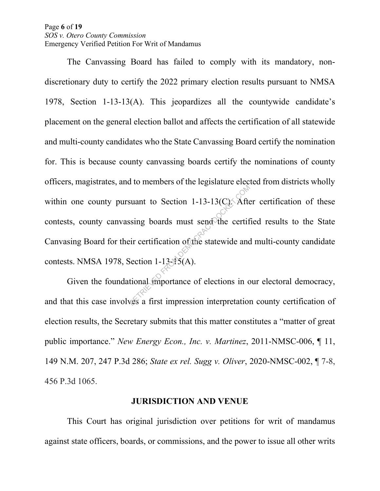Page **6** of **19**  *SOS v. Otero County Commission*  Emergency Verified Petition For Writ of Mandamus

The Canvassing Board has failed to comply with its mandatory, nondiscretionary duty to certify the 2022 primary election results pursuant to NMSA 1978, Section 1-13-13(A). This jeopardizes all the countywide candidate's placement on the general election ballot and affects the certification of all statewide and multi-county candidates who the State Canvassing Board certify the nomination for. This is because county canvassing boards certify the nominations of county officers, magistrates, and to members of the legislature elected from districts wholly within one county pursuant to Section 1-13-13( $C$ ). After certification of these contests, county canvassing boards must send the certified results to the State Canvasing Board for their certification of the statewide and multi-county candidate contests. NMSA 1978, Section 1-13-15(A). suant to Section 1-13-13( $C_X$ ). After<br>sing boards must send the certification of the statewide and<br>section 1-13-15(A).<br>tional importance of elections in c<br>wes a first impression interpretation

Given the foundational importance of elections in our electoral democracy, and that this case involves a first impression interpretation county certification of election results, the Secretary submits that this matter constitutes a "matter of great public importance." *New Energy Econ., Inc. v. Martinez*, 2011-NMSC-006, ¶ 11, 149 N.M. 207, 247 P.3d 286; *State ex rel. Sugg v. Oliver*, 2020-NMSC-002, ¶ 7-8, 456 P.3d 1065.

## **JURISDICTION AND VENUE**

This Court has original jurisdiction over petitions for writ of mandamus against state officers, boards, or commissions, and the power to issue all other writs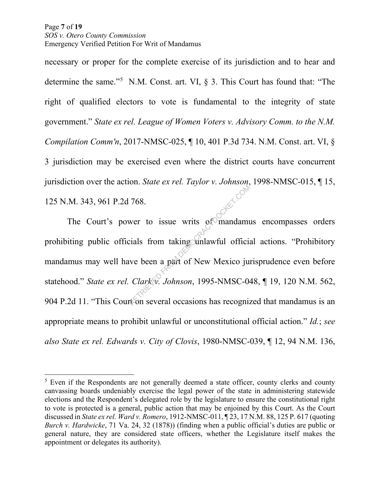necessary or proper for the complete exercise of its jurisdiction and to hear and determine the same."<sup>5</sup> N.M. Const. art. VI,  $\S$  3. This Court has found that: "The right of qualified electors to vote is fundamental to the integrity of state government." *State ex rel. League of Women Voters v. Advisory Comm. to the N.M. Compilation Comm'n*, 2017-NMSC-025, ¶ 10, 401 P.3d 734. N.M. Const. art. VI, § 3 jurisdiction may be exercised even where the district courts have concurrent jurisdiction over the action. *State ex rel. Taylor v. Johnson*, 1998-NMSC-015, ¶ 15, 125 N.M. 343, 961 P.2d 768.

The Court's power to issue writs of mandamus encompasses orders prohibiting public officials from taking unlawful official actions. "Prohibitory mandamus may well have been a part of New Mexico jurisprudence even before statehood." *State ex rel. Clark v. Johnson*, 1995-NMSC-048, ¶ 19, 120 N.M. 562, 904 P.2d 11. "This Court on several occasions has recognized that mandamus is an appropriate means to prohibit unlawful or unconstitutional official action." *Id.*; *see also State ex rel. Edwards v. City of Clovis*, 1980-NMSC-039, ¶ 12, 94 N.M. 136, Text Text of Solution 1995-NMSC-04<br>Retaining the Mexico in Clark V. Johnson, 1995-NMSC-04<br>References a part of New Mexico ju

 $5$  Even if the Respondents are not generally deemed a state officer, county clerks and county canvassing boards undeniably exercise the legal power of the state in administering statewide elections and the Respondent's delegated role by the legislature to ensure the constitutional right to vote is protected is a general, public action that may be enjoined by this Court. As the Court discussed in *State ex rel. Ward v. Romero*, 1912-NMSC-011, ¶ 23, 17 N.M. 88, 125 P. 617 (quoting *Burch v. Hardwicke*, 71 Va. 24, 32 (1878)) (finding when a public official's duties are public or general nature, they are considered state officers, whether the Legislature itself makes the appointment or delegates its authority).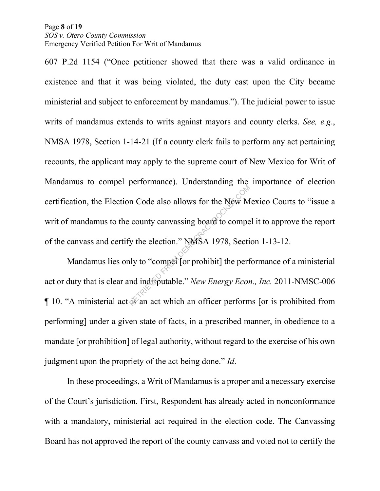#### Page **8** of **19**  *SOS v. Otero County Commission*  Emergency Verified Petition For Writ of Mandamus

607 P.2d 1154 ("Once petitioner showed that there was a valid ordinance in existence and that it was being violated, the duty cast upon the City became ministerial and subject to enforcement by mandamus."). The judicial power to issue writs of mandamus extends to writs against mayors and county clerks. *See, e.g*., NMSA 1978, Section 1-14-21 (If a county clerk fails to perform any act pertaining recounts, the applicant may apply to the supreme court of New Mexico for Writ of Mandamus to compel performance). Understanding the importance of election certification, the Election Code also allows for the New Mexico Courts to "issue a writ of mandamus to the county canvassing board to compel it to approve the report of the canvass and certify the election." NMSA 1978, Section 1-13-12. represents the New M<br>
Return Code also allows for the New M<br>
Return County canvassing board to compete<br>
independent of the perform<br>
The perform<br>
The perform<br>
The perform<br>
The Same act which an officer perform<br>
The Same act

Mandamus lies only to "compel [or prohibit] the performance of a ministerial act or duty that is clear and indisputable." *New Energy Econ., Inc.* 2011-NMSC-006 ¶ 10. "A ministerial act is an act which an officer performs [or is prohibited from performing] under a given state of facts, in a prescribed manner, in obedience to a mandate [or prohibition] of legal authority, without regard to the exercise of his own judgment upon the propriety of the act being done." *Id*.

In these proceedings, a Writ of Mandamus is a proper and a necessary exercise of the Court's jurisdiction. First, Respondent has already acted in nonconformance with a mandatory, ministerial act required in the election code. The Canvassing Board has not approved the report of the county canvass and voted not to certify the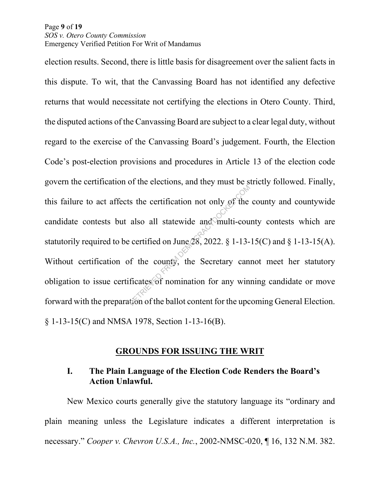#### Page **9** of **19**  *SOS v. Otero County Commission*  Emergency Verified Petition For Writ of Mandamus

election results. Second, there is little basis for disagreement over the salient facts in this dispute. To wit, that the Canvassing Board has not identified any defective returns that would necessitate not certifying the elections in Otero County. Third, the disputed actions of the Canvassing Board are subject to a clear legal duty, without regard to the exercise of the Canvassing Board's judgement. Fourth, the Election Code's post-election provisions and procedures in Article 13 of the election code govern the certification of the elections, and they must be strictly followed. Finally, this failure to act affects the certification not only of the county and countywide candidate contests but also all statewide and multi-county contests which are statutorily required to be certified on June  $\oslash$  2022. § 1-13-15(C) and § 1-13-15(A). Without certification of the county, the Secretary cannot meet her statutory obligation to issue certificates of nomination for any winning candidate or move forward with the preparation of the ballot content for the upcoming General Election. § 1-13-15(C) and NMSA 1978, Section 1-13-16(B). Example 18 and Solution in the data and Solution and Solution is certified on June 28, 2022. § 1-13-<br>
f the county, the Secretary can ficates of nomination for any wing the ballot content for the upc

# **GROUNDS FOR ISSUING THE WRIT**

## **I. The Plain Language of the Election Code Renders the Board's Action Unlawful.**

New Mexico courts generally give the statutory language its "ordinary and plain meaning unless the Legislature indicates a different interpretation is necessary." *Cooper v. Chevron U.S.A., Inc.*, 2002-NMSC-020, ¶ 16, 132 N.M. 382.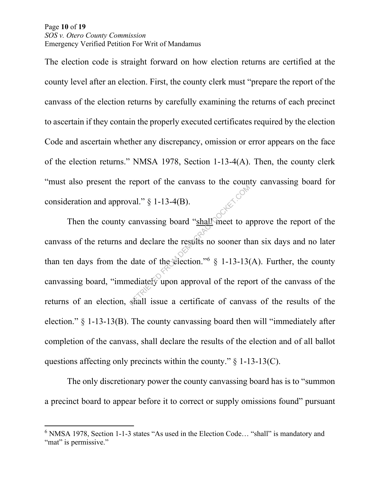Page **10** of **19**  *SOS v. Otero County Commission*  Emergency Verified Petition For Writ of Mandamus

The election code is straight forward on how election returns are certified at the county level after an election. First, the county clerk must "prepare the report of the canvass of the election returns by carefully examining the returns of each precinct to ascertain if they contain the properly executed certificates required by the election Code and ascertain whether any discrepancy, omission or error appears on the face of the election returns." NMSA 1978, Section 1-13-4(A). Then, the county clerk "must also present the report of the canvass to the county canvassing board for consideration and approval."  $\S$  1-13-4(B).

Then the county canvassing board "shall meet to approve the report of the canvass of the returns and declare the results no sooner than six days and no later than ten days from the date of the election."<sup>6</sup>  $\S$  1-13-13(A). Further, the county canvassing board, "immediately upon approval of the report of the canvass of the returns of an election, shall issue a certificate of canvass of the results of the election." § 1-13-13(B). The county canvassing board then will "immediately after completion of the canvass, shall declare the results of the election and of all ballot questions affecting only precincts within the county."  $\S$  1-13-13(C). val."  $\S$  1-13-4(B).<br>
canvassing board "shall meet to approval of the results no sooner the date of the election."  $\S$  1-13-13(<br>
ediately upon approval of the reported shall issue a certificate of canval

The only discretionary power the county canvassing board has is to "summon a precinct board to appear before it to correct or supply omissions found" pursuant

<sup>&</sup>lt;sup>6</sup> NMSA 1978, Section 1-1-3 states "As used in the Election Code... "shall" is mandatory and "mat" is permissive."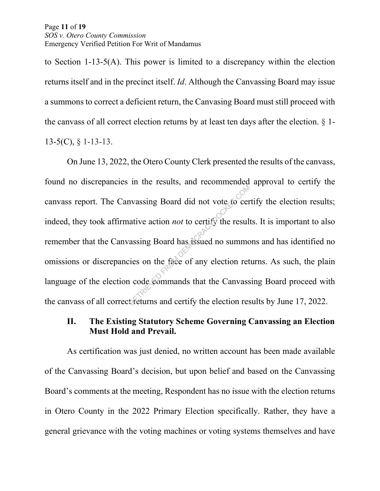#### Page **11** of **19**  *SOS v. Otero County Commission*  Emergency Verified Petition For Writ of Mandamus

to Section 1-13-5(A). This power is limited to a discrepancy within the election returns itself and in the precinct itself. *Id*. Although the Canvassing Board may issue a summons to correct a deficient return, the Canvasing Board must still proceed with the canvass of all correct election returns by at least ten days after the election.  $\S$  1- $13-5(C)$ ,  $\S$  1-13-13.

On June 13, 2022, the Otero County Clerk presented the results of the canvass, found no discrepancies in the results, and recommended approval to certify the canvass report. The Canvassing Board did not vote to certify the election results; indeed, they took affirmative action *not* to certify the results. It is important to also remember that the Canvassing Board has issued no summons and has identified no omissions or discrepancies on the face of any election returns. As such, the plain language of the election code commands that the Canvassing Board proceed with the canvass of all correct returns and certify the election results by June 17, 2022. The action and the contract of the result<br>assing Board has issued no summer<br>ies on the face of any election ret<br>action code commands that the Canvass<br>treturns and certify the election res

# **II. The Existing Statutory Scheme Governing Canvassing an Election Must Hold and Prevail.**

As certification was just denied, no written account has been made available of the Canvassing Board's decision, but upon belief and based on the Canvassing Board's comments at the meeting, Respondent has no issue with the election returns in Otero County in the 2022 Primary Election specifically. Rather, they have a general grievance with the voting machines or voting systems themselves and have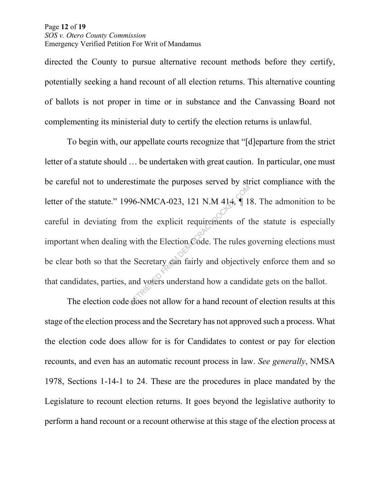#### Page **12** of **19**  *SOS v. Otero County Commission*  Emergency Verified Petition For Writ of Mandamus

directed the County to pursue alternative recount methods before they certify, potentially seeking a hand recount of all election returns. This alternative counting of ballots is not proper in time or in substance and the Canvassing Board not complementing its ministerial duty to certify the election returns is unlawful.

To begin with, our appellate courts recognize that "[d]eparture from the strict letter of a statute should … be undertaken with great caution. In particular, one must be careful not to underestimate the purposes served by strict compliance with the letter of the statute." 1996-NMCA-023, 121 N.M 414*,* ¶ 18. The admonition to be careful in deviating from the explicit requirements of the statute is especially important when dealing with the Election Code. The rules governing elections must be clear both so that the Secretary can fairly and objectively enforce them and so that candidates, parties, and voters understand how a candidate gets on the ballot. 96-NMCA-023, 121 N.M 414, 1<br>
om the explicit requirements of t<br>
with the Election Code. The rules g<br>
Execretary can fairly and objective<br>
and voters understand how a candid<br>
does not allow for a hand recount

The election code does not allow for a hand recount of election results at this stage of the election process and the Secretary has not approved such a process. What the election code does allow for is for Candidates to contest or pay for election recounts, and even has an automatic recount process in law. *See generally*, NMSA 1978, Sections 1-14-1 to 24. These are the procedures in place mandated by the Legislature to recount election returns. It goes beyond the legislative authority to perform a hand recount or a recount otherwise at this stage of the election process at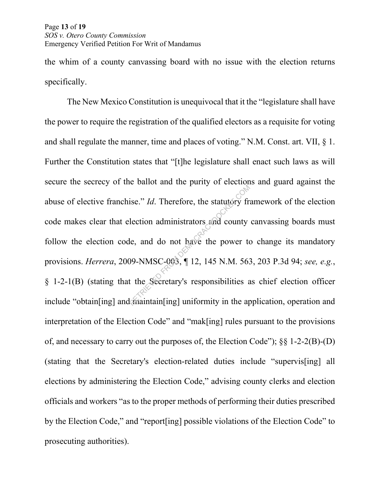#### Page **13** of **19**  *SOS v. Otero County Commission*  Emergency Verified Petition For Writ of Mandamus

the whim of a county canvassing board with no issue with the election returns specifically.

The New Mexico Constitution is unequivocal that it the "legislature shall have the power to require the registration of the qualified electors as a requisite for voting and shall regulate the manner, time and places of voting." N.M. Const. art. VII, § 1. Further the Constitution states that "[t]he legislature shall enact such laws as will secure the secrecy of the ballot and the purity of elections and guard against the abuse of elective franchise." *Id*. Therefore, the statutory framework of the election code makes clear that election administrators and county canvassing boards must follow the election code, and do not have the power to change its mandatory provisions. *Herrera*, 2009-NMSC-003, ¶ 12, 145 N.M. 563, 203 P.3d 94; *see, e.g.*, § 1-2-1(B) (stating that the Secretary's responsibilities as chief election officer include "obtain[ing] and maintain[ing] uniformity in the application, operation and interpretation of the Election Code" and "mak[ing] rules pursuant to the provisions of, and necessary to carry out the purposes of, the Election Code"); §§ 1-2-2(B)-(D) (stating that the Secretary's election-related duties include "supervis[ing] all elections by administering the Election Code," advising county clerks and election officials and workers "as to the proper methods of performing their duties prescribed by the Election Code," and "report[ing] possible violations of the Election Code" to prosecuting authorities). ise." *Id*. Therefore, the statutory fraction administrators and county<br>le, and do not have the power to<br>09-NMSC-003, 1 12, 145 N.M. 563<br>t the Secretary's responsibilities a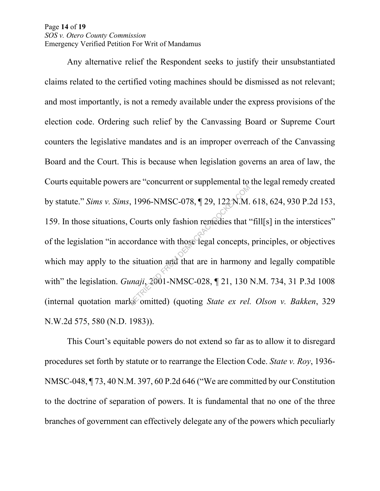#### Page **14** of **19**  *SOS v. Otero County Commission*  Emergency Verified Petition For Writ of Mandamus

Any alternative relief the Respondent seeks to justify their unsubstantiated claims related to the certified voting machines should be dismissed as not relevant; and most importantly, is not a remedy available under the express provisions of the election code. Ordering such relief by the Canvassing Board or Supreme Court counters the legislative mandates and is an improper overreach of the Canvassing Board and the Court. This is because when legislation governs an area of law, the Courts equitable powers are "concurrent or supplemental to the legal remedy created by statute." *Sims v. Sims*, 1996-NMSC-078, ¶ 29, 122 N.M. 618, 624, 930 P.2d 153, 159. In those situations, Courts only fashion remedies that "fill[s] in the interstices" of the legislation "in accordance with those legal concepts, principles, or objectives which may apply to the situation and that are in harmony and legally compatible with" the legislation. *Gunaji*, 2001-NMSC-028, ¶ 21, 130 N.M. 734, 31 P.3d 1008 (internal quotation marks omitted) (quoting *State ex rel. Olson v. Bakken*, 329 N.W.2d 575, 580 (N.D. 1983)).  $R$ , 1996-NMSC-078, ¶ 29, 122 N.M.<br>Courts only fashion remedies that<br>cordance with those legal concepts,<br>i situation and that are in harmony<br>*maji*, 2001-NMSC-028, ¶ 21, 130

This Court's equitable powers do not extend so far as to allow it to disregard procedures set forth by statute or to rearrange the Election Code. *State v. Roy*, 1936- NMSC-048, ¶ 73, 40 N.M. 397, 60 P.2d 646 ("We are committed by our Constitution to the doctrine of separation of powers. It is fundamental that no one of the three branches of government can effectively delegate any of the powers which peculiarly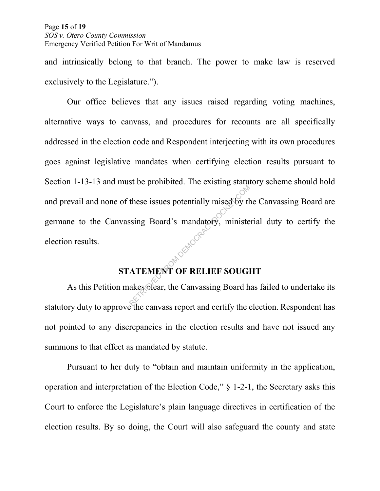and intrinsically belong to that branch. The power to make law is reserved exclusively to the Legislature.").

Our office believes that any issues raised regarding voting machines, alternative ways to canvass, and procedures for recounts are all specifically addressed in the election code and Respondent interjecting with its own procedures goes against legislative mandates when certifying election results pursuant to Section 1-13-13 and must be prohibited. The existing statutory scheme should hold and prevail and none of these issues potentially raised by the Canvassing Board are germane to the Canvassing Board's mandatory, ministerial duty to certify the election results. MOENOGRAF

# **STATEMENT OF RELIEF SOUGHT**

As this Petition makes clear, the Canvassing Board has failed to undertake its statutory duty to approve the canvass report and certify the election. Respondent has not pointed to any discrepancies in the election results and have not issued any summons to that effect as mandated by statute.

Pursuant to her duty to "obtain and maintain uniformity in the application, operation and interpretation of the Election Code," § 1-2-1, the Secretary asks this Court to enforce the Legislature's plain language directives in certification of the election results. By so doing, the Court will also safeguard the county and state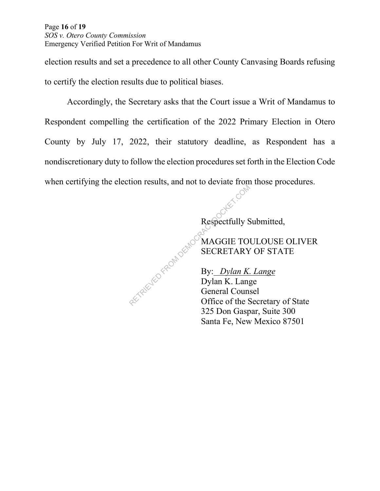Page **16** of **19**  *SOS v. Otero County Commission*  Emergency Verified Petition For Writ of Mandamus

election results and set a precedence to all other County Canvasing Boards refusing to certify the election results due to political biases.

Accordingly, the Secretary asks that the Court issue a Writ of Mandamus to Respondent compelling the certification of the 2022 Primary Election in Otero County by July 17, 2022, their statutory deadline, as Respondent has a nondiscretionary duty to follow the election procedures set forth in the Election Code when certifying the election results, and not to deviate from those procedures.

Respectfully Submitted,

 MAGGIE TOULOUSE OLIVER SECRETARY OF STATE

 By: *Dylan K. Lange* Dylan K. Lange General Counsel Office of the Secretary of State 325 Don Gaspar, Suite 300 Santa Fe, New Mexico 87501 Respectfully S<br>
Respectfully S<br>
Respectfully S<br>
SECRETARY<br>
By: Dylan K. Lang<br>
General Counces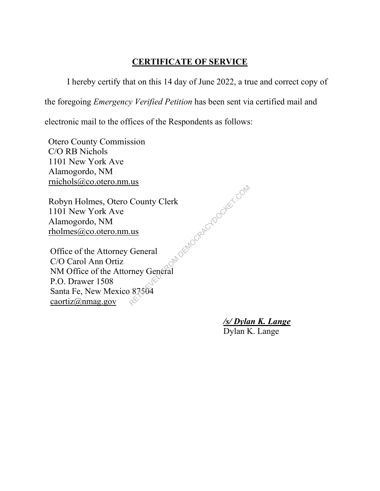## **CERTIFICATE OF SERVICE**

I hereby certify that on this 14 day of June 2022, a true and correct copy of

the foregoing *Emergency Verified Petition* has been sent via certified mail and

electronic mail to the offices of the Respondents as follows:

Otero County Commission C/O RB Nichols 1101 New York Ave Alamogordo, NM rnichols@co.otero.nm.us

Robyn Holmes, Otero County Clerk 1101 New York Ave Alamogordo, NM rholmes@co.otero.nm.us MORENOGRACYDOCKET.COM

Office of the Attorney General C/O Carol Ann Ortiz NM Office of the Attorney General P.O. Drawer 1508 Santa Fe, New Mexico 87504 caortiz@nmag.gov

*/s/ Dylan K. Lange*

Dylan K. Lange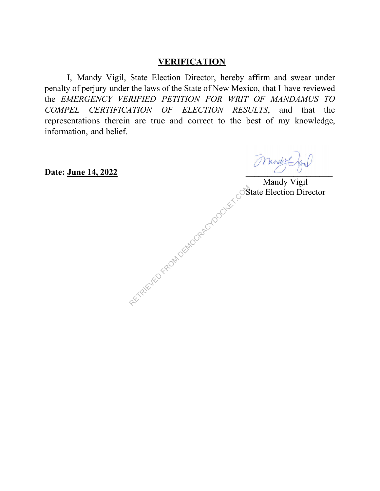## **VERIFICATION**

I, Mandy Vigil, State Election Director, hereby affirm and swear under penalty of perjury under the laws of the State of New Mexico, that I have reviewed the *EMERGENCY VERIFIED PETITION FOR WRIT OF MANDAMUS TO COMPEL CERTIFICATION OF ELECTION RESULTS*, and that the representations therein are true and correct to the best of my knowledge, information, and belief.

**Date: June 14, 2022** \_\_\_\_\_\_\_\_\_\_\_\_\_\_\_\_\_\_\_\_

**Mandy Vigil** 

RETRIEVED FROM DEMOCRACYDOCKET.COM BELLECTION Director